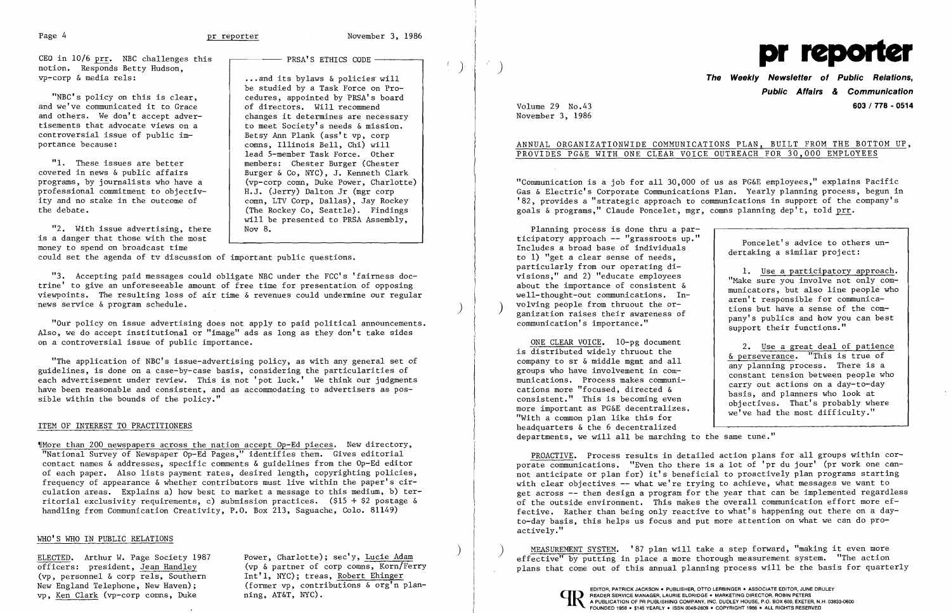$\left($ 

 $\mathcal{A}^{\mathcal{E}}$  .

CEO in 10/6 prr. NBC challenges this  $\overline{P}$  PRSA'S ETHICS CODE – notion. Responds Betty Hudson,<br>vp-corp & media rels:

"NBC's policy on this is clear, and we've communicated it to Grace  $\left\{\n\begin{array}{c}\n\text{of } \text{directories.} \\
\text{of } \text{directors.} \\
\text{changes it determines are necessary}\n\end{array}\n\right\}$ and others. We don't accept adver-<br>tisements that advocate views on a tisements that advocate views on a<br>controversial issue of public im-<br>Betsy Ann Plank (ass't yp. corn controversial issue of public im-<br>
portance because:<br>  $\begin{array}{ccc} \text{3} & \text{3} & \text{4} \\ \text{4} & \text{5} & \text{6} \\ \text{5} & \text{6} & \text{6} \\ \text{6} & \text{6} & \text{6} \\ \text{7} & \text{7} & \text{6} \\ \text{8} & \text{7} & \text{6} \\ \text{9} & \text{9} & \text{7} \\ \text{10} & \text{11} & \text{7} \\ \text{11} & \text{12} &$ 

"1. These issues are better<br>covered in news & public affairs covered in news & public affairs <br>programs, by journalists who have a (vp-corp comn, Duke Power, Charlotte professional commitment to objectiv-<br>ity and no stake in the outcome of ity and no stake in the outcome of comm, LTV Corp, Dallas), Jay Rockey<br>
(The Rockey Co. Seattle). Findings

... and its bylaws & policies will be studied by a Task Force on Pro cedures, appointed by PRSA's board<br>of directors. Will recommend comns, Illinois Bell, Chi) will lead 5-member Task Force. Other members: Chester Burger (Chester (vp-corp comn, Duke Power, Charlotte)<br>H.J. (Jerry) Dalton Jr (mgr corp (The Rockey Co, Seattle). Findings will be presented to PRSA Assembly, Nov 8.

"2. With issue advertising, there is a danger that those with the most money to spend on broadcast time

could set the agenda of tv discussion of important public questions.

"3. Accepting paid messages could obligate NBC under the FCC's 'fairness doctrine' to give an unforeseeable amount of free time for presentation of opposing viewpoints. The resulting loss of air time & revenues could undermine our regular news service & program schedule. )

"Our policy On issue advertising does not apply to paid political announcements. Also, we do accept institutional or "image" ads as long as they don't take sides on a controversial issue of public importance.

Planning process is done thru a par ticipatory approach -- "grassroots up."<br>Includes a broad base of individuals to 1) "get a clear sense of needs, particularly from our operating di-<br>visions," and 2) "educate employees<br>about the importance of consistent &<br>well-thought-out communications. In-<br>volving people from thruout the or-<br>ganization raises their awareness of<br>com

"The application of NBC's issue-advertising policy, as with any general set of guidelines, is done on a case-by-case basis, considering the particularities of each advertisement under review. This is not 'pot luck.' We think our judgments have been reasonable and consistent, and as accommodating to advertisers as possible within the bounds of the policy."

### ITEM OF INTEREST TO PRACTITIONERS

~fMore than 200 newspapers across the nation accept Op-Ed pieces. New directory, "National Survey of Newspaper Op-Ed Pages," identifies them. Gives editorial contact names & addresses, specific comments & guidelines from the Op-Ed editor of each paper. Also lists payment rates, desired length, copyrighting policies, frequency of appearance & whether contributors must live within the paper's circulation areas. Explains a) how best to market a message to this medium, b) territorial exclusivity requirements, c) submission practices. (\$15 + \$2 postage & handling from Communication Creativity, P.O. Box 213, Saguache, Colo. 81149)

ONE CLEAR VOICE. 10-pg document<br>is distributed widely thruout the  $\alpha$  perseverance. "This is true of company to sr & middle mgmt and all<br>groups who have involvement in communications. Process makes communi-<br>cations more "focused, directed & carries more "focused, directed a<br>consistent." This is becoming even<br>more important as PG&E decentralizes.<br>we've had the most difficulty." more important as PG&E decentralizes.<br>"With a common plan like this for headquarters & the 6 decentralized departments, we will all be marching to the same tune."

## WHO'S WHO IN PUBLIC RELATIONS

(vp, personnel  $\& corr$  rels, Southern<br>New England Telephone, New Haven); vp, Ken Clark (vp-corp comns, Duke

ELECTED. Arthur W. Page Society 1987 Power, Charlotte); sec'y, Lucie Adam<br>
officers: president, Jean Handley (vp & partner of corp comns, Korn/Fer (vp & partner of corp comns, Korn/Ferry<br>Int'1, NYC); treas, Robert Ehinger (former vp, contributions  $\delta$  org'n plan-<br>ning, AT&T, NYC).



# **The Weekly Newsletter of Public Relations, Public Affairs & Communication**  Volume 29 No.43 **603/778-0514**

any planning process. There is a<br>constant tension between people who

November 3, 1986

## ANNUAL ORGANIZATIONWIDE COMMUNICATIONS PLAN, BUILT FROM THE BOTTOM UP, PROVIDES PG&E WITH ONE CLEAR VOICE OUTREACH FOR 30,000 EMPLOYEES

"Communication is a job for all 30,000 of us as PG&E employees," explains Pacific Gas & Electric's Corporate Communications Plan. Yearly planning process, begun in '82, provides a "strategic approach to communications in support of the company's goals & programs," Claude Poncelet, mgr, comns planning dep't, told prr.

PROACTIVE. Process results in detailed action plans for all groups within corporate communications. "Even tho there is a lot of 'pr du jour' (pr work one cannot anticipate or plan for) it's beneficial to proactively plan programs starting with clear objectives -- what we're trying to achieve, what messages we want to get across -- then design a program for the year that can be implemented regardless of the outside environment. This makes the overall communication effort more effective. Rather than being only reactive to what's happening out there on a dayto-day basis, this helps us focus and put more attention on what we can do proactively."

) MEASUREMENT SYSTEM. '87 plan will take a step forward, "making it even more effective" by putting in place a more thorough measurement system. "The action plans that come out of this annual planning process will be the basis for quarterly